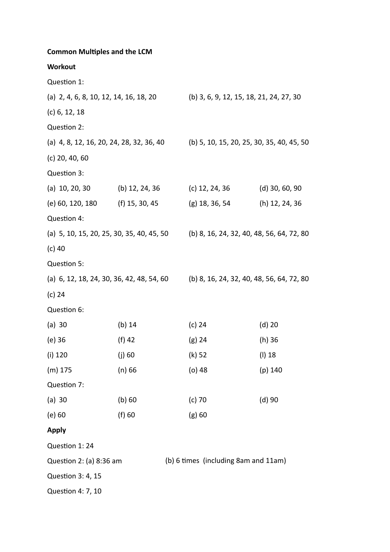| <b>Common Multiples and the LCM</b>                                                   |                |                                           |                  |
|---------------------------------------------------------------------------------------|----------------|-------------------------------------------|------------------|
| Workout                                                                               |                |                                           |                  |
| Question 1:                                                                           |                |                                           |                  |
| (a) 2, 4, 6, 8, 10, 12, 14, 16, 18, 20                                                |                | (b) 3, 6, 9, 12, 15, 18, 21, 24, 27, 30   |                  |
| $(c)$ 6, 12, 18                                                                       |                |                                           |                  |
| Question 2:                                                                           |                |                                           |                  |
| (a) 4, 8, 12, 16, 20, 24, 28, 32, 36, 40                                              |                | (b) 5, 10, 15, 20, 25, 30, 35, 40, 45, 50 |                  |
| $(c)$ 20, 40, 60                                                                      |                |                                           |                  |
| Question 3:                                                                           |                |                                           |                  |
| (a) $10, 20, 30$                                                                      | (b) 12, 24, 36 | (c) 12, 24, 36                            | $(d)$ 30, 60, 90 |
| (e) 60, 120, 180 (f) 15, 30, 45                                                       |                | (g) 18, 36, 54                            | (h) 12, 24, 36   |
| Question 4:                                                                           |                |                                           |                  |
| (a) 5, 10, 15, 20, 25, 30, 35, 40, 45, 50                                             |                | (b) 8, 16, 24, 32, 40, 48, 56, 64, 72, 80 |                  |
| $(c)$ 40                                                                              |                |                                           |                  |
| Question 5:                                                                           |                |                                           |                  |
| (a) $6, 12, 18, 24, 30, 36, 42, 48, 54, 60$ (b) 8, 16, 24, 32, 40, 48, 56, 64, 72, 80 |                |                                           |                  |
| (c) 24                                                                                |                |                                           |                  |
| Question 6:                                                                           |                |                                           |                  |
| $(a)$ 30                                                                              | (b) $14$       | (c) 24                                    | $(d)$ 20         |
| (e) 36                                                                                | (f) 42         | (g) 24                                    | (h) 36           |
| $(i)$ 120                                                                             | $(j)$ 60       | (k) 52                                    | (I) 18           |
| $(m)$ 175                                                                             | $(n)$ 66       | (o) 48                                    | $(p)$ 140        |
| Question 7:                                                                           |                |                                           |                  |
| (a) 30                                                                                | $(b)$ 60       | $(c)$ 70                                  | $(d)$ 90         |
| $(e)$ 60                                                                              | (f) 60         | $(g)$ 60                                  |                  |
| <b>Apply</b>                                                                          |                |                                           |                  |
| Question 1: 24                                                                        |                |                                           |                  |
| Question 2: (a) 8:36 am                                                               |                | (b) 6 times (including 8am and 11am)      |                  |
| Question 3: 4, 15                                                                     |                |                                           |                  |
| Question 4: 7, 10                                                                     |                |                                           |                  |